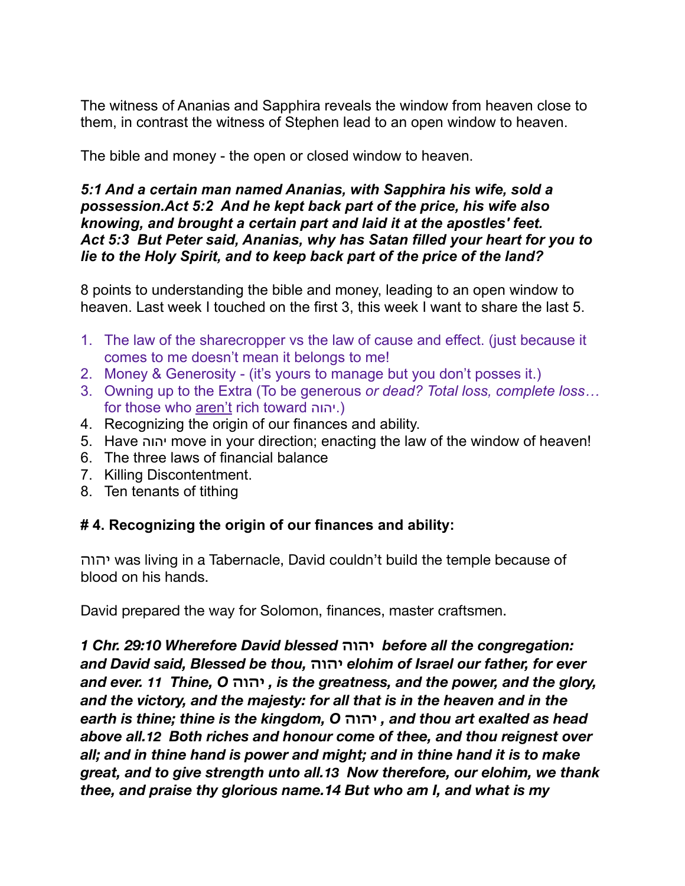The witness of Ananias and Sapphira reveals the window from heaven close to them, in contrast the witness of Stephen lead to an open window to heaven.

The bible and money - the open or closed window to heaven.

#### *5:1 And a certain man named Ananias, with Sapphira his wife, sold a possession.Act 5:2 And he kept back part of the price, his wife also knowing, and brought a certain part and laid it at the apostles' feet. Act 5:3 But Peter said, Ananias, why has Satan filled your heart for you to lie to the Holy Spirit, and to keep back part of the price of the land?*

8 points to understanding the bible and money, leading to an open window to heaven. Last week I touched on the first 3, this week I want to share the last 5.

- 1. The law of the sharecropper vs the law of cause and effect. (just because it comes to me doesn't mean it belongs to me!
- 2. Money & Generosity (it's yours to manage but you don't posses it.)
- 3. Owning up to the Extra (To be generous *or dead? Total loss, complete loss…* for those who aren't rich toward יהוה.(
- 4. Recognizing the origin of our finances and ability.
- 5. Have יהוה move in your direction; enacting the law of the window of heaven!
- 6. The three laws of financial balance
- 7. Killing Discontentment.
- 8. Ten tenants of tithing

## **# 4. Recognizing the origin of our finances and ability:**

יהוה was living in a Tabernacle, David couldn't build the temple because of blood on his hands.

David prepared the way for Solomon, finances, master craftsmen.

*1 Chr. 29:10 Wherefore David blessed* **יהוה** *before all the congregation: and David said, Blessed be thou,* **יהוה** *elohim of Israel our father, for ever and ever. 11 Thine, O* **יהוה** *, is the greatness, and the power, and the glory, and the victory, and the majesty: for all that is in the heaven and in the earth is thine; thine is the kingdom, O* **יהוה** *, and thou art exalted as head above all.12 Both riches and honour come of thee, and thou reignest over all; and in thine hand is power and might; and in thine hand it is to make great, and to give strength unto all.13 Now therefore, our elohim, we thank thee, and praise thy glorious name.14 But who am I, and what is my*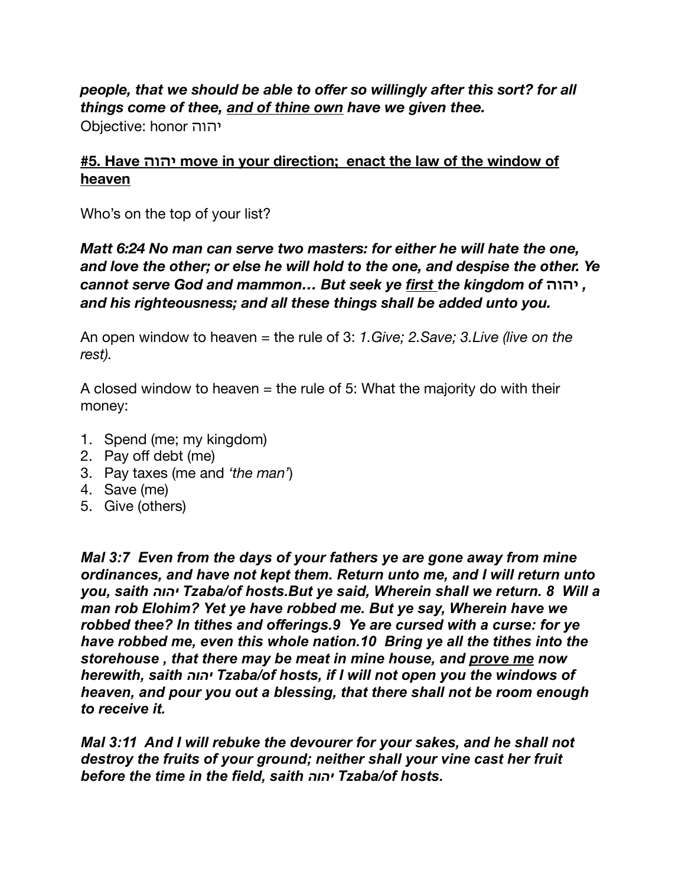### *people, that we should be able to offer so willingly after this sort? for all things come of thee, and of thine own have we given thee.*  Objective: honor יהוה

## **#5. Have יהוה move in your direction; enact the law of the window of heaven**

Who's on the top of your list?

*Matt 6:24 No man can serve two masters: for either he will hate the one, and love the other; or else he will hold to the one, and despise the other. Ye cannot serve God and mammon… But seek ye first the kingdom of* **יהוה** *, and his righteousness; and all these things shall be added unto you.* 

An open window to heaven = the rule of 3: *1.Give; 2.Save; 3.Live (live on the rest).* 

A closed window to heaven  $=$  the rule of 5: What the majority do with their money:

- 1. Spend (me; my kingdom)
- 2. Pay off debt (me)
- 3. Pay taxes (me and *'the man'*)
- 4. Save (me)
- 5. Give (others)

*Mal 3:7 Even from the days of your fathers ye are gone away from mine ordinances, and have not kept them. Return unto me, and I will return unto you, saith יהוה Tzaba/of hosts.But ye said, Wherein shall we return. 8 Will a man rob Elohim? Yet ye have robbed me. But ye say, Wherein have we robbed thee? In tithes and offerings.9 Ye are cursed with a curse: for ye have robbed me, even this whole nation.10 Bring ye all the tithes into the storehouse , that there may be meat in mine house, and prove me now herewith, saith יהוה Tzaba/of hosts, if I will not open you the windows of heaven, and pour you out a blessing, that there shall not be room enough to receive it.* 

*Mal 3:11 And I will rebuke the devourer for your sakes, and he shall not destroy the fruits of your ground; neither shall your vine cast her fruit before the time in the field, saith יהוה Tzaba/of hosts.*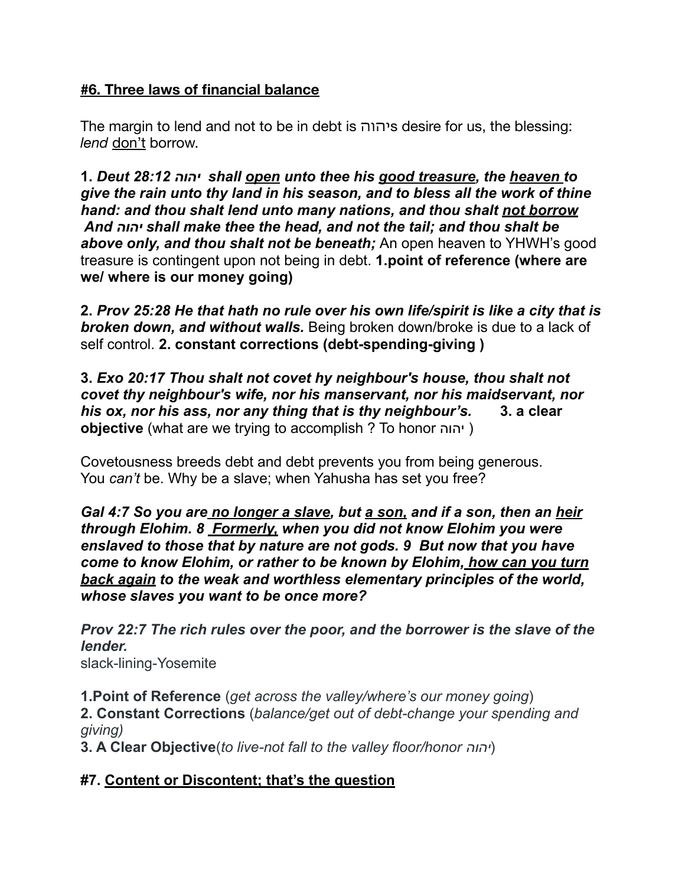## **#6. Three laws of financial balance**

The margin to lend and not to be in debt is יהוהs desire for us, the blessing: *lend* don't borrow.

**1.** *Deut 28:12 יהוה shall open unto thee his good treasure, the heaven to give the rain unto thy land in his season, and to bless all the work of thine hand: and thou shalt lend unto many nations, and thou shalt not borrow And יהוה shall make thee the head, and not the tail; and thou shalt be above only, and thou shalt not be beneath;* An open heaven to YHWH's good treasure is contingent upon not being in debt. **1.point of reference (where are we/ where is our money going)** 

**2.** *Prov 25:28 He that hath no rule over his own life/spirit is like a city that is broken down, and without walls.* Being broken down/broke is due to a lack of self control. **2. constant corrections (debt-spending-giving )** 

**3.** *Exo 20:17 Thou shalt not covet hy neighbour's house, thou shalt not covet thy neighbour's wife, nor his manservant, nor his maidservant, nor his ox, nor his ass, nor any thing that is thy neighbour's.* **3. a clear objective** (what are we trying to accomplish ? To honor יהוה(

Covetousness breeds debt and debt prevents you from being generous. You *can't* be. Why be a slave; when Yahusha has set you free?

*Gal 4:7 So you are no longer a slave, but a son, and if a son, then an heir through Elohim. 8 Formerly, when you did not know Elohim you were enslaved to those that by nature are not gods. 9 But now that you have come to know Elohim, or rather to be known by Elohim, how can you turn back again to the weak and worthless elementary principles of the world, whose slaves you want to be once more?* 

*Prov 22:7 The rich rules over the poor, and the borrower is the slave of the lender.*  slack-lining-Yosemite

**1.Point of Reference** (*get across the valley/where's our money going*) **2. Constant Corrections** (*balance/get out of debt-change your spending and giving)*

**3. A Clear Objective**(*to live-not fall to the valley floor/honor יהוה*(

## **#7. Content or Discontent; that's the question**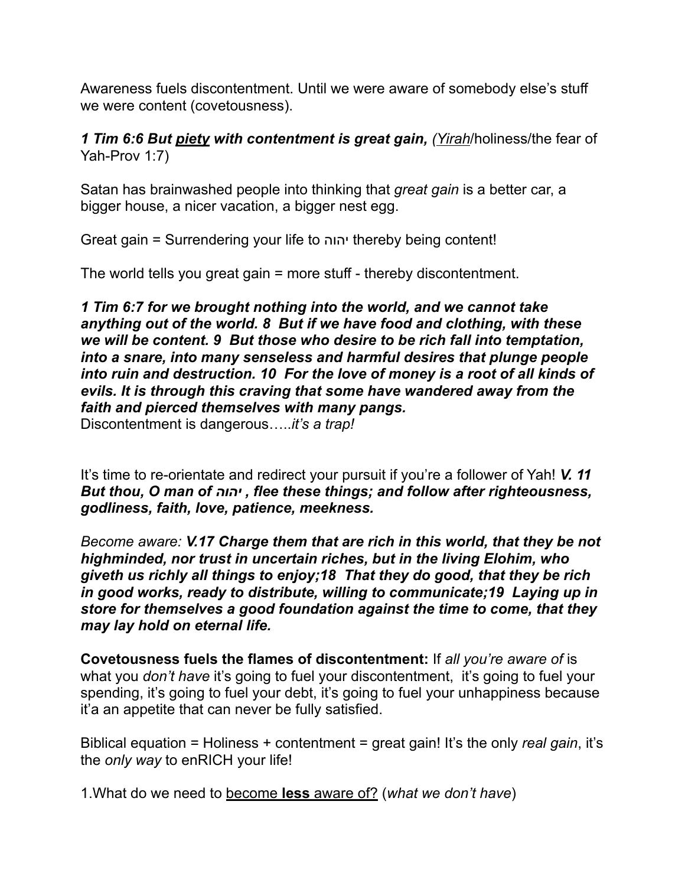Awareness fuels discontentment. Until we were aware of somebody else's stuff we were content (covetousness).

**1 Tim 6:6 But piety with contentment is great gain, (***Yirah***/holiness/the fear of** Yah-Prov 1:7)

Satan has brainwashed people into thinking that *great gain* is a better car, a bigger house, a nicer vacation, a bigger nest egg.

Great gain = Surrendering your life to יהוה thereby being content!

The world tells you great gain = more stuff - thereby discontentment.

*1 Tim 6:7 for we brought nothing into the world, and we cannot take anything out of the world. 8 But if we have food and clothing, with these we will be content. 9 But those who desire to be rich fall into temptation, into a snare, into many senseless and harmful desires that plunge people into ruin and destruction. 10 For the love of money is a root of all kinds of evils. It is through this craving that some have wandered away from the faith and pierced themselves with many pangs.*  Discontentment is dangerous…..*it's a trap!* 

It's time to re-orientate and redirect your pursuit if you're a follower of Yah! *V. 11 But thou, O man of יהוה , flee these things; and follow after righteousness, godliness, faith, love, patience, meekness.* 

*Become aware: V.17 Charge them that are rich in this world, that they be not highminded, nor trust in uncertain riches, but in the living Elohim, who giveth us richly all things to enjoy;18 That they do good, that they be rich in good works, ready to distribute, willing to communicate;19 Laying up in store for themselves a good foundation against the time to come, that they may lay hold on eternal life.* 

**Covetousness fuels the flames of discontentment:** If *all you're aware of* is what you *don't have* it's going to fuel your discontentment, it's going to fuel your spending, it's going to fuel your debt, it's going to fuel your unhappiness because it'a an appetite that can never be fully satisfied.

Biblical equation = Holiness + contentment = great gain! It's the only *real gain*, it's the *only way* to enRICH your life!

1.What do we need to become **less** aware of? (*what we don't have*)